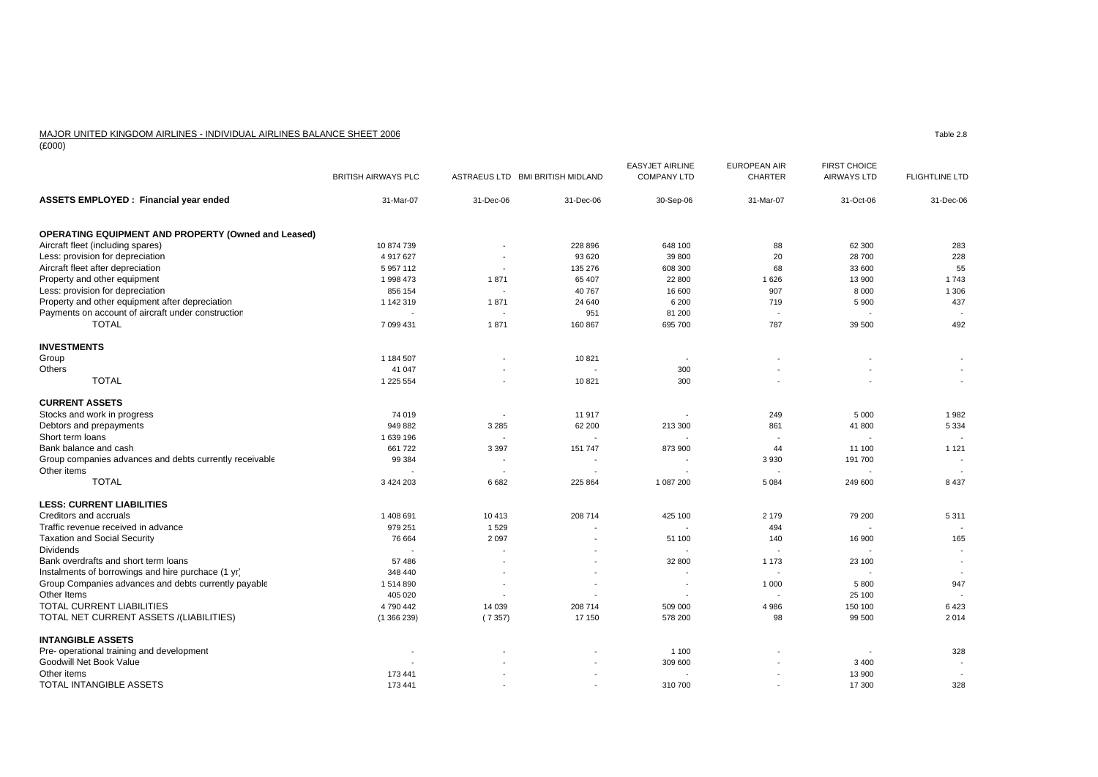## MAJOR UNITED KINGDOM AIRLINES - INDIVIDUAL AIRLINES BALANCE SHEET 2006

 $\frac{10000}{(£000)}$ 

|                                                            | <b>BRITISH AIRWAYS PLC</b> |                          | ASTRAEUS LTD BMI BRITISH MIDLAND | <b>EASYJET AIRLINE</b><br><b>COMPANY LTD</b> | <b>EUROPEAN AIR</b><br><b>CHARTER</b> | <b>FIRST CHOICE</b><br><b>AIRWAYS LTD</b> | <b>FLIGHTLINE LTD</b>    |
|------------------------------------------------------------|----------------------------|--------------------------|----------------------------------|----------------------------------------------|---------------------------------------|-------------------------------------------|--------------------------|
| <b>ASSETS EMPLOYED: Financial year ended</b>               | 31-Mar-07                  | 31-Dec-06                | 31-Dec-06                        | 30-Sep-06                                    | 31-Mar-07                             | 31-Oct-06                                 | 31-Dec-06                |
| <b>OPERATING EQUIPMENT AND PROPERTY (Owned and Leased)</b> |                            |                          |                                  |                                              |                                       |                                           |                          |
| Aircraft fleet (including spares)                          | 10 874 739                 |                          | 228 896                          | 648 100                                      | 88                                    | 62 300                                    | 283                      |
| Less: provision for depreciation                           | 4 917 627                  |                          | 93 6 20                          | 39 800                                       | 20                                    | 28 700                                    | 228                      |
| Aircraft fleet after depreciation                          | 5 9 5 7 1 1 2              | $\overline{\phantom{a}}$ | 135 276                          | 608 300                                      | 68                                    | 33 600                                    | 55                       |
| Property and other equipment                               | 1 998 473                  | 1871                     | 65 407                           | 22 800                                       | 1626                                  | 13 900                                    | 1743                     |
| Less: provision for depreciation                           | 856 154                    | $\overline{\phantom{a}}$ | 40 767                           | 16 600                                       | 907                                   | 8 0 0 0                                   | 1 3 0 6                  |
| Property and other equipment after depreciation            | 1 142 319                  | 1871                     | 24 640                           | 6 200                                        | 719                                   | 5 9 0 0                                   | 437                      |
| Payments on account of aircraft under construction         |                            |                          | 951                              | 81 200                                       | $\overline{\phantom{a}}$              |                                           |                          |
| <b>TOTAL</b>                                               | 7 099 431                  | 1871                     | 160 867                          | 695 700                                      | 787                                   | 39 500                                    | 492                      |
| <b>INVESTMENTS</b>                                         |                            |                          |                                  |                                              |                                       |                                           |                          |
| Group                                                      | 1 184 507                  |                          | 10821                            |                                              |                                       |                                           |                          |
| <b>Others</b>                                              | 41 047                     |                          |                                  | 300                                          |                                       |                                           |                          |
| <b>TOTAL</b>                                               | 1 225 554                  |                          | 10821                            | 300                                          |                                       |                                           | $\sim$                   |
| <b>CURRENT ASSETS</b>                                      |                            |                          |                                  |                                              |                                       |                                           |                          |
| Stocks and work in progress                                | 74 019                     |                          | 11917                            |                                              | 249                                   | 5 0 0 0                                   | 1982                     |
| Debtors and prepayments                                    | 949 882                    | 3 2 8 5                  | 62 200                           | 213 300                                      | 861                                   | 41 800                                    | 5 3 3 4                  |
| Short term loans                                           | 1 639 196                  |                          |                                  |                                              |                                       |                                           |                          |
| Bank balance and cash                                      | 661 722                    | 3 3 9 7                  | 151 747                          | 873 900                                      | 44                                    | 11 100                                    | 1 1 2 1                  |
| Group companies advances and debts currently receivable    | 99 384                     | $\overline{\phantom{a}}$ |                                  | $\overline{\phantom{a}}$                     | 3 9 3 0                               | 191 700                                   | $\overline{\phantom{a}}$ |
| Other items                                                |                            |                          |                                  |                                              | $\blacksquare$                        |                                           |                          |
| <b>TOTAL</b>                                               | 3 4 2 4 2 0 3              | 6682                     | 225 864                          | 1 087 200                                    | 5 0 8 4                               | 249 600                                   | 8 4 3 7                  |
| <b>LESS: CURRENT LIABILITIES</b>                           |                            |                          |                                  |                                              |                                       |                                           |                          |
| Creditors and accruals                                     | 1 408 691                  | 10 413                   | 208 714                          | 425 100                                      | 2 179                                 | 79 200                                    | 5311                     |
| Traffic revenue received in advance                        | 979 251                    | 1529                     |                                  | $\blacksquare$                               | 494                                   |                                           |                          |
| <b>Taxation and Social Security</b>                        | 76 664                     | 2 0 9 7                  |                                  | 51 100                                       | 140                                   | 16 900                                    | 165                      |
| <b>Dividends</b>                                           |                            |                          |                                  |                                              |                                       |                                           |                          |
| Bank overdrafts and short term loans                       | 57 486                     |                          |                                  | 32 800                                       | 1 1 7 3                               | 23 100                                    | $\overline{\phantom{a}}$ |
| Instalments of borrowings and hire purchace (1 yr)         | 348 440                    |                          |                                  | $\sim$                                       | $\overline{\phantom{a}}$              |                                           |                          |
| Group Companies advances and debts currently payable       | 1514890                    |                          |                                  | $\overline{\phantom{a}}$                     | 1 0 0 0                               | 5 800                                     | 947                      |
| Other Items                                                | 405 020                    |                          |                                  |                                              |                                       | 25 100                                    |                          |
| <b>TOTAL CURRENT LIABILITIES</b>                           | 4790442                    | 14 0 39                  | 208 714                          | 509 000                                      | 4 9 8 6                               | 150 100                                   | 6423                     |
| TOTAL NET CURRENT ASSETS /(LIABILITIES)                    | (1366239)                  | (7357)                   | 17 150                           | 578 200                                      | 98                                    | 99 500                                    | 2014                     |
| <b>INTANGIBLE ASSETS</b>                                   |                            |                          |                                  |                                              |                                       |                                           |                          |
| Pre- operational training and development                  | $\overline{\phantom{a}}$   |                          |                                  | 1 1 0 0                                      |                                       |                                           | 328                      |
| Goodwill Net Book Value                                    |                            |                          |                                  | 309 600                                      |                                       | 3 4 0 0                                   |                          |
| Other items                                                | 173 441                    |                          |                                  |                                              |                                       | 13 900                                    | $\sim$                   |
| TOTAL INTANGIBLE ASSETS                                    | 173 441                    |                          |                                  | 310 700                                      |                                       | 17 300                                    | 328                      |

Table 2.8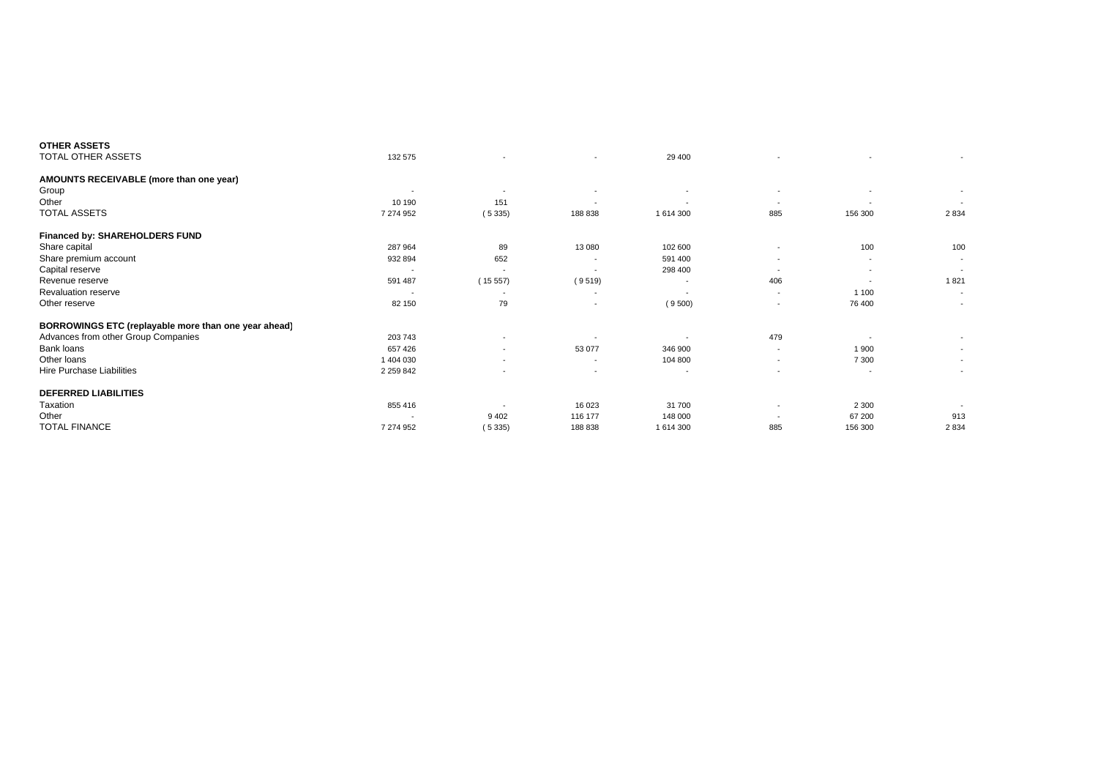| <b>OTHER ASSETS</b>                                  |                          |                          |                          |                          |                          |                          |                          |
|------------------------------------------------------|--------------------------|--------------------------|--------------------------|--------------------------|--------------------------|--------------------------|--------------------------|
| TOTAL OTHER ASSETS                                   | 132 575                  |                          | $\overline{\phantom{0}}$ | 29 400                   |                          | $\overline{\phantom{a}}$ | $\sim$                   |
| AMOUNTS RECEIVABLE (more than one year)              |                          |                          |                          |                          |                          |                          |                          |
| Group                                                | $\overline{\phantom{a}}$ | $\overline{\phantom{a}}$ | $\overline{\phantom{a}}$ | $\overline{\phantom{a}}$ | $\overline{\phantom{a}}$ | $\overline{\phantom{a}}$ | $\sim$                   |
| Other                                                | 10 190                   | 151                      | $\overline{\phantom{a}}$ | $\overline{\phantom{a}}$ | $\overline{\phantom{a}}$ | $\sim$                   | $\overline{\phantom{a}}$ |
| TOTAL ASSETS                                         | 7 274 952                | (5335)                   | 188 838                  | 1 614 300                | 885                      | 156 300                  | 2834                     |
| <b>Financed by: SHAREHOLDERS FUND</b>                |                          |                          |                          |                          |                          |                          |                          |
| Share capital                                        | 287 964                  | 89                       | 13 080                   | 102 600                  |                          | 100                      | 100                      |
| Share premium account                                | 932 894                  | 652                      | $\overline{\phantom{a}}$ | 591 400                  | $\overline{\phantom{a}}$ | $\sim$                   | $\overline{\phantom{0}}$ |
| Capital reserve                                      |                          | $\overline{\phantom{a}}$ |                          | 298 400                  | $\overline{\phantom{a}}$ | $\overline{\phantom{a}}$ | $\overline{\phantom{a}}$ |
| Revenue reserve                                      | 591 487                  | (15557)                  | (9519)                   | $\overline{\phantom{a}}$ | 406                      | $\overline{\phantom{a}}$ | 1821                     |
| <b>Revaluation reserve</b>                           |                          | $\overline{\phantom{a}}$ | $\overline{\phantom{a}}$ |                          | $\overline{a}$           | 1 100                    | $\overline{\phantom{a}}$ |
| Other reserve                                        | 82 150                   | 79                       | $\overline{\phantom{a}}$ | (9500)                   |                          | 76 400                   | $\overline{\phantom{a}}$ |
| BORROWINGS ETC (replayable more than one year ahead) |                          |                          |                          |                          |                          |                          |                          |
| Advances from other Group Companies                  | 203 743                  | $\overline{\phantom{a}}$ |                          |                          | 479                      |                          | $\overline{\phantom{a}}$ |
| Bank loans                                           | 657 426                  | $\overline{\phantom{a}}$ | 53 077                   | 346 900                  | $\overline{a}$           | 1 900                    | $\overline{a}$           |
| Other loans                                          | 1 404 030                | $\overline{\phantom{a}}$ | $\overline{\phantom{a}}$ | 104 800                  | $\overline{\phantom{a}}$ | 7 3 0 0                  | $\overline{\phantom{a}}$ |
| Hire Purchase Liabilities                            | 2 2 5 9 8 4 2            |                          | $\overline{\phantom{a}}$ | $\overline{\phantom{a}}$ | $\overline{\phantom{a}}$ | $\overline{\phantom{a}}$ | $\sim$                   |
| <b>DEFERRED LIABILITIES</b>                          |                          |                          |                          |                          |                          |                          |                          |
| Taxation                                             | 855 416                  |                          | 16 023                   | 31 700                   | $\overline{\phantom{a}}$ | 2 3 0 0                  |                          |
| Other                                                |                          | 9 4 0 2                  | 116 177                  | 148 000                  | $\overline{\phantom{a}}$ | 67 200                   | 913                      |
| <b>TOTAL FINANCE</b>                                 | 7 274 952                | (5335)                   | 188 838                  | 1 614 300                | 885                      | 156 300                  | 2834                     |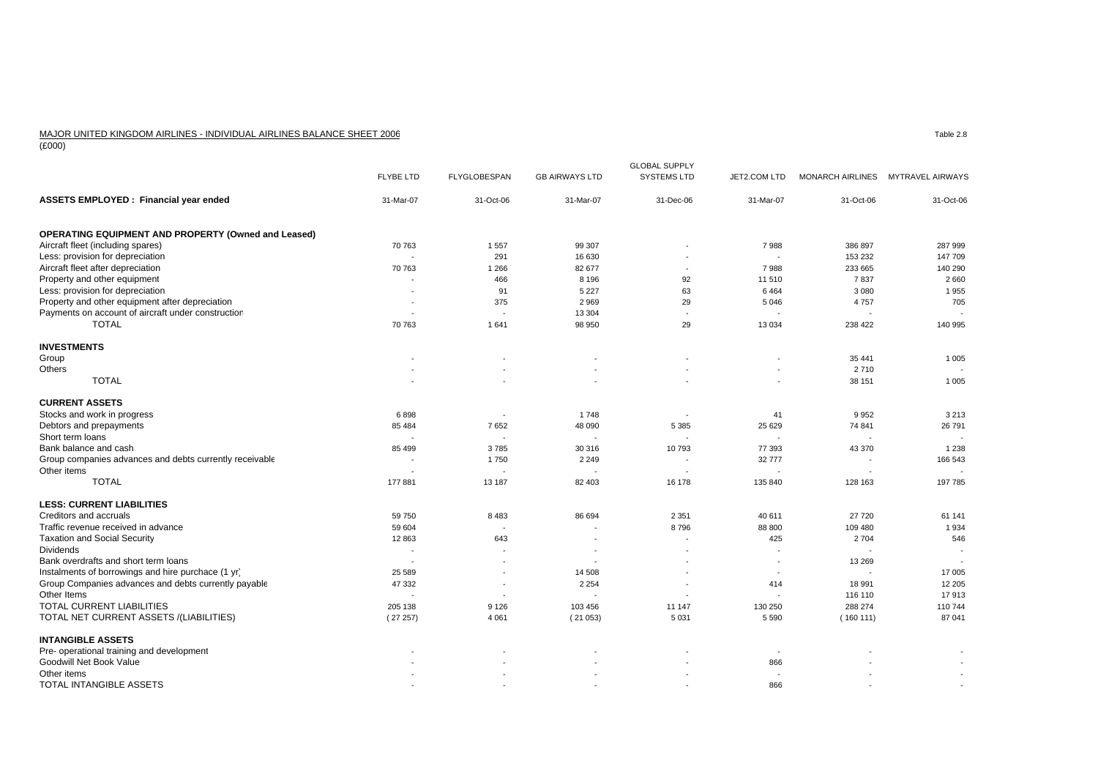## MAJOR UNITED KINGDOM AIRLINES - INDIVIDUAL AIRLINES BALANCE SHEET 2006

 $\frac{1000}{(£000)}$ 

|                                                            |                          |                          |                          | <b>GLOBAL SUPPLY</b>     |                          |           |                                   |
|------------------------------------------------------------|--------------------------|--------------------------|--------------------------|--------------------------|--------------------------|-----------|-----------------------------------|
|                                                            | <b>FLYBE LTD</b>         | <b>FLYGLOBESPAN</b>      | <b>GB AIRWAYS LTD</b>    | <b>SYSTEMS LTD</b>       | JET2.COM LTD             |           | MONARCH AIRLINES MYTRAVEL AIRWAYS |
| <b>ASSETS EMPLOYED: Financial year ended</b>               | 31-Mar-07                | 31-Oct-06                | 31-Mar-07                | 31-Dec-06                | 31-Mar-07                | 31-Oct-06 | 31-Oct-06                         |
| <b>OPERATING EQUIPMENT AND PROPERTY (Owned and Leased)</b> |                          |                          |                          |                          |                          |           |                                   |
| Aircraft fleet (including spares)                          | 70 763                   | 1557                     | 99 307                   |                          | 7988                     | 386 897   | 287 999                           |
| Less: provision for depreciation                           |                          | 291                      | 16 630                   |                          | $\overline{a}$           | 153 232   | 147 709                           |
| Aircraft fleet after depreciation                          | 70 763                   | 1 2 6 6                  | 82 677                   | $\overline{\phantom{a}}$ | 7988                     | 233 665   | 140 290                           |
| Property and other equipment                               |                          | 466                      | 8 1 9 6                  | 92                       | 11 510                   | 7837      | 2660                              |
| Less: provision for depreciation                           |                          | 91                       | 5 2 2 7                  | 63                       | 6464                     | 3 0 8 0   | 1955                              |
| Property and other equipment after depreciation            | $\overline{\phantom{a}}$ | 375                      | 2969                     | 29                       | 5 0 4 6                  | 4757      | 705                               |
| Payments on account of aircraft under construction         |                          |                          | 13 304                   | $\sim$                   |                          |           |                                   |
| <b>TOTAL</b>                                               | 70 763                   | 1641                     | 98 950                   | 29                       | 13 0 34                  | 238 422   | 140 995                           |
| <b>INVESTMENTS</b>                                         |                          |                          |                          |                          |                          |           |                                   |
| Group                                                      |                          |                          |                          |                          |                          | 35 441    | 1 0 0 5                           |
| Others                                                     |                          |                          |                          |                          | ÷.                       | 2710      |                                   |
| <b>TOTAL</b>                                               |                          |                          |                          |                          |                          | 38 151    | 1 0 0 5                           |
| <b>CURRENT ASSETS</b>                                      |                          |                          |                          |                          |                          |           |                                   |
| Stocks and work in progress                                | 6898                     |                          | 1748                     |                          | 41                       | 9952      | 3 2 1 3                           |
| Debtors and prepayments                                    | 85 484                   | 7652                     | 48 090                   | 5 3 8 5                  | 25 629                   | 74 841    | 26 791                            |
| Short term loans                                           | $\overline{a}$           | $\overline{a}$           |                          |                          | $\sim$                   | ٠.        |                                   |
| Bank balance and cash                                      | 85 499                   | 3785                     | 30 316                   | 10793                    | 77 393                   | 43 370    | 1 2 3 8                           |
| Group companies advances and debts currently receivable    |                          | 1750                     | 2 2 4 9                  |                          | 32777                    |           | 166 543                           |
| Other items                                                |                          | $\overline{\phantom{a}}$ |                          |                          | $\sim$                   |           |                                   |
| <b>TOTAL</b>                                               | 177881                   | 13 187                   | 82 403                   | 16 178                   | 135 840                  | 128 163   | 197 785                           |
| <b>LESS: CURRENT LIABILITIES</b>                           |                          |                          |                          |                          |                          |           |                                   |
| Creditors and accruals                                     | 59 750                   | 8483                     | 86 694                   | 2 3 5 1                  | 40 611                   | 27 720    | 61 141                            |
| Traffic revenue received in advance                        | 59 604                   | $\overline{\phantom{a}}$ |                          | 8796                     | 88 800                   | 109 480   | 1934                              |
| <b>Taxation and Social Security</b>                        | 12 863                   | 643                      | $\overline{\phantom{a}}$ | $\overline{\phantom{a}}$ | 425                      | 2 7 0 4   | 546                               |
| <b>Dividends</b>                                           | ÷                        | ٠.                       |                          |                          |                          |           |                                   |
| Bank overdrafts and short term loans                       |                          |                          |                          |                          |                          | 13 269    |                                   |
| Instalments of borrowings and hire purchace (1 yr)         | 25 589                   | $\sim$                   | 14 508                   |                          | $\overline{\phantom{a}}$ |           | 17 005                            |
| Group Companies advances and debts currently payable       | 47 332                   | $\overline{\phantom{a}}$ | 2 2 5 4                  |                          | 414                      | 18 991    | 12 205                            |
| Other Items                                                |                          | ۰.                       |                          |                          |                          | 116 110   | 17913                             |
| <b>TOTAL CURRENT LIABILITIES</b>                           | 205 138                  | 9 1 2 6                  | 103 456                  | 11 147                   | 130 250                  | 288 274   | 110 744                           |
| TOTAL NET CURRENT ASSETS /(LIABILITIES)                    | (27257)                  | 4 0 6 1                  | (21053)                  | 5 0 3 1                  | 5 5 9 0                  | (160111)  | 87 041                            |
| <b>INTANGIBLE ASSETS</b>                                   |                          |                          |                          |                          |                          |           |                                   |
| Pre- operational training and development                  |                          |                          |                          |                          | $\overline{\phantom{a}}$ |           |                                   |
| Goodwill Net Book Value                                    |                          |                          |                          |                          | 866                      |           |                                   |
| Other items                                                |                          |                          |                          |                          | $\overline{\phantom{a}}$ |           |                                   |
| TOTAL INTANGIBLE ASSETS                                    |                          |                          |                          |                          | 866                      |           | $\sim$                            |

Table 2.8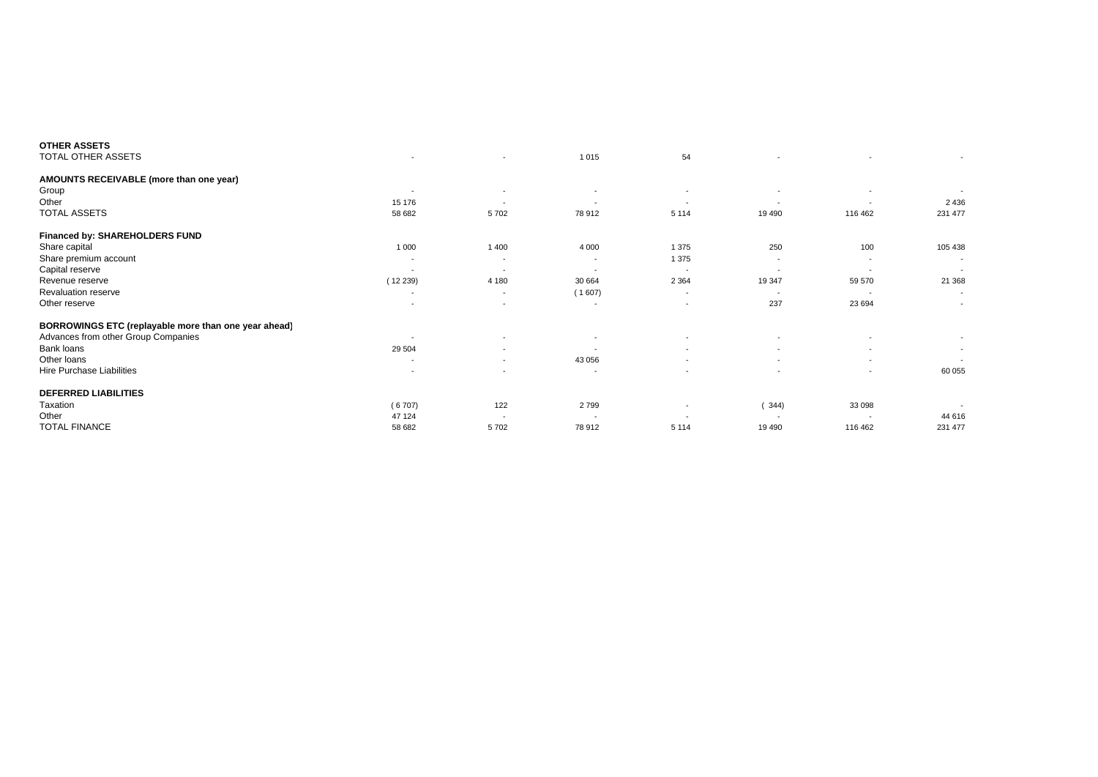| <b>OTHER ASSETS</b>                                  |                          |                          |                          |                          |                          |                          |                          |
|------------------------------------------------------|--------------------------|--------------------------|--------------------------|--------------------------|--------------------------|--------------------------|--------------------------|
| TOTAL OTHER ASSETS                                   | $\overline{\phantom{a}}$ |                          | 1015                     | 54                       |                          |                          |                          |
| AMOUNTS RECEIVABLE (more than one year)              |                          |                          |                          |                          |                          |                          |                          |
| Group                                                | $\overline{\phantom{a}}$ | $\overline{\phantom{a}}$ | $\overline{\phantom{a}}$ | $\overline{\phantom{a}}$ |                          | $\overline{\phantom{a}}$ |                          |
| Other                                                | 15 176                   | $\overline{\phantom{a}}$ | $\overline{\phantom{a}}$ | $\overline{\phantom{a}}$ | $\overline{\phantom{a}}$ | $\overline{\phantom{a}}$ | 2 4 3 6                  |
| <b>TOTAL ASSETS</b>                                  | 58 682                   | 5702                     | 78 912                   | 5 1 1 4                  | 19 490                   | 116 462                  | 231 477                  |
| <b>Financed by: SHAREHOLDERS FUND</b>                |                          |                          |                          |                          |                          |                          |                          |
| Share capital                                        | 1 0 0 0                  | 1 4 0 0                  | 4 0 0 0                  | 1 3 7 5                  | 250                      | 100                      | 105 438                  |
| Share premium account                                | $\overline{\phantom{a}}$ | $\overline{\phantom{a}}$ | $\overline{\phantom{a}}$ | 1 3 7 5                  | $\overline{\phantom{a}}$ | $\overline{\phantom{a}}$ |                          |
| Capital reserve                                      | $\overline{\phantom{a}}$ | $\overline{\phantom{a}}$ | $\overline{\phantom{a}}$ | $\overline{\phantom{a}}$ | $\overline{\phantom{a}}$ | $\overline{\phantom{a}}$ |                          |
| Revenue reserve                                      | (12239)                  | 4 1 8 0                  | 30 664                   | 2 3 6 4                  | 19 347                   | 59 570                   | 21 368                   |
| Revaluation reserve                                  | $\overline{\phantom{a}}$ | $\overline{\phantom{a}}$ | (1607)                   | $\overline{\phantom{a}}$ | $\overline{\phantom{a}}$ | $\overline{\phantom{a}}$ | $\overline{\phantom{a}}$ |
| Other reserve                                        | $\overline{\phantom{a}}$ |                          |                          | $\overline{\phantom{a}}$ | 237                      | 23 694                   |                          |
| BORROWINGS ETC (replayable more than one year ahead) |                          |                          |                          |                          |                          |                          |                          |
| Advances from other Group Companies                  | $\overline{\phantom{a}}$ |                          |                          |                          |                          |                          |                          |
| Bank loans                                           | 29 504                   | $\overline{\phantom{a}}$ |                          | $\overline{\phantom{a}}$ | $\overline{\phantom{a}}$ |                          | $\overline{a}$           |
| Other loans                                          | $\overline{\phantom{a}}$ | $\overline{\phantom{a}}$ | 43 056                   | $\overline{\phantom{a}}$ | $\sim$                   | $\overline{\phantom{a}}$ |                          |
| Hire Purchase Liabilities                            | $\overline{\phantom{a}}$ | $\overline{\phantom{a}}$ | $\overline{\phantom{a}}$ | $\overline{\phantom{a}}$ | $\overline{\phantom{a}}$ | $\overline{\phantom{a}}$ | 60 055                   |
| <b>DEFERRED LIABILITIES</b>                          |                          |                          |                          |                          |                          |                          |                          |
| Taxation                                             | (6707)                   | 122                      | 2799                     |                          | (344)                    | 33 098                   |                          |
| Other                                                | 47 124                   | $\overline{\phantom{a}}$ | $\overline{\phantom{a}}$ | $\overline{\phantom{a}}$ |                          |                          | 44 616                   |
| <b>TOTAL FINANCE</b>                                 | 58 682                   | 5702                     | 78 912                   | 5 1 1 4                  | 19 490                   | 116 462                  | 231 477                  |
|                                                      |                          |                          |                          |                          |                          |                          |                          |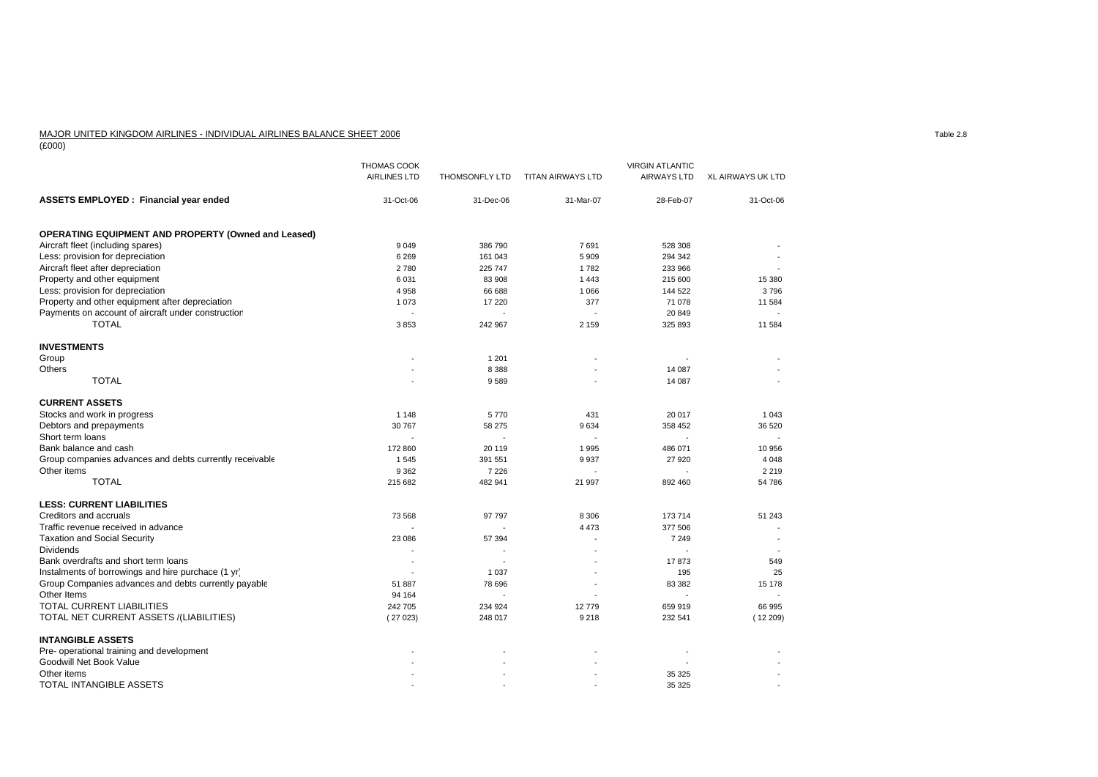## MAJOR UNITED KINGDOM AIRLINES - INDIVIDUAL AIRLINES BALANCE SHEET 2006

(£000)

|                                                            | <b>THOMAS COOK</b><br><b>AIRLINES LTD</b> | <b>THOMSONFLY LTD</b> | <b>TITAN AIRWAYS LTD</b> | <b>VIRGIN ATLANTIC</b><br><b>AIRWAYS LTD</b> | <b>XL AIRWAYS UK LTD</b> |
|------------------------------------------------------------|-------------------------------------------|-----------------------|--------------------------|----------------------------------------------|--------------------------|
| <b>ASSETS EMPLOYED: Financial year ended</b>               | 31-Oct-06                                 | 31-Dec-06             | 31-Mar-07                | 28-Feb-07                                    | 31-Oct-06                |
| <b>OPERATING EQUIPMENT AND PROPERTY (Owned and Leased)</b> |                                           |                       |                          |                                              |                          |
| Aircraft fleet (including spares)                          | 9 0 4 9                                   | 386 790               | 7691                     | 528 308                                      |                          |
| Less: provision for depreciation                           | 6 2 6 9                                   | 161 043               | 5 9 0 9                  | 294 342                                      |                          |
| Aircraft fleet after depreciation                          | 2780                                      | 225 747               | 1782                     | 233 966                                      |                          |
| Property and other equipment                               | 6 0 31                                    | 83 908                | 1443                     | 215 600                                      | 15 380                   |
| Less: provision for depreciation                           | 4 9 5 8                                   | 66 688                | 1 0 6 6                  | 144 522                                      | 3796                     |
| Property and other equipment after depreciation            | 1 0 7 3                                   | 17 220                | 377                      | 71 078                                       | 11 584                   |
| Payments on account of aircraft under construction         | $\sim$                                    | $\overline{a}$        | $\overline{a}$           | 20 849                                       |                          |
| <b>TOTAL</b>                                               | 3853                                      | 242 967               | 2 1 5 9                  | 325 893                                      | 11 584                   |
| <b>INVESTMENTS</b>                                         |                                           |                       |                          |                                              |                          |
| Group                                                      |                                           | 1 2 0 1               |                          |                                              |                          |
| Others                                                     |                                           | 8 3 8 8               |                          | 14 087                                       |                          |
| <b>TOTAL</b>                                               |                                           | 9589                  |                          | 14 087                                       |                          |
| <b>CURRENT ASSETS</b>                                      |                                           |                       |                          |                                              |                          |
| Stocks and work in progress                                | 1 1 4 8                                   | 5770                  | 431                      | 20 017                                       | 1 0 4 3                  |
| Debtors and prepayments                                    | 30 767                                    | 58 275                | 9634                     | 358 452                                      | 36 520                   |
| Short term loans                                           |                                           |                       |                          |                                              |                          |
| Bank balance and cash                                      | 172 860                                   | 20 119                | 1995                     | 486 071                                      | 10 956                   |
| Group companies advances and debts currently receivable    | 1545                                      | 391 551               | 9937                     | 27 9 20                                      | 4 0 4 8                  |
| Other items                                                | 9 3 6 2                                   | 7 2 2 6               | ÷,                       | $\overline{a}$                               | 2 2 1 9                  |
| <b>TOTAL</b>                                               | 215 682                                   | 482 941               | 21 997                   | 892 460                                      | 54 786                   |
| <b>LESS: CURRENT LIABILITIES</b>                           |                                           |                       |                          |                                              |                          |
| Creditors and accruals                                     | 73 568                                    | 97 797                | 8 3 0 6                  | 173 714                                      | 51 243                   |
| Traffic revenue received in advance                        | $\overline{a}$                            |                       | 4 4 7 3                  | 377 506                                      |                          |
| <b>Taxation and Social Security</b>                        | 23 086                                    | 57 394                |                          | 7 2 4 9                                      |                          |
| <b>Dividends</b>                                           |                                           |                       |                          |                                              |                          |
| Bank overdrafts and short term loans                       | $\sim$                                    |                       |                          | 17873                                        | 549                      |
| Instalments of borrowings and hire purchace (1 yr)         | ÷,                                        | 1 0 3 7               |                          | 195                                          | 25                       |
| Group Companies advances and debts currently payable       | 51 887                                    | 78 696                |                          | 83 382                                       | 15 178                   |
| Other Items                                                | 94 164                                    |                       |                          |                                              |                          |
| TOTAL CURRENT LIABILITIES                                  | 242 705                                   | 234 924               | 12779                    | 659 919                                      | 66 995                   |
| TOTAL NET CURRENT ASSETS /(LIABILITIES)                    | (27023)                                   | 248 017               | 9218                     | 232 541                                      | (12209)                  |
| <b>INTANGIBLE ASSETS</b>                                   |                                           |                       |                          |                                              |                          |
| Pre- operational training and development                  |                                           |                       |                          |                                              |                          |
| Goodwill Net Book Value                                    |                                           |                       |                          |                                              |                          |
| Other items                                                |                                           |                       |                          | 35 325                                       |                          |
| TOTAL INTANGIBLE ASSETS                                    |                                           |                       |                          | 35 325                                       |                          |

Table 2.8